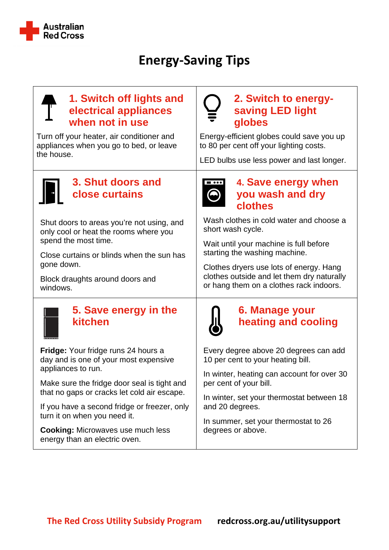

# **Energy-Saving Tips**

## **1. Switch off lights and electrical appliances when not in use**

Turn off your heater, air conditioner and appliances when you go to bed, or leave the house.



## **3. Shut doors and close curtains**

Shut doors to areas you're not using, and only cool or heat the rooms where you spend the most time.

Close curtains or blinds when the sun has gone down.

Block draughts around doors and windows.



## **5. Save energy in the kitchen**

**Fridge:** Your fridge runs 24 hours a day and is one of your most expensive appliances to run.

Make sure the fridge door seal is tight and that no gaps or cracks let cold air escape.

If you have a second fridge or freezer, only turn it on when you need it.

**Cooking:** Microwaves use much less energy than an electric oven.

# **2. Switch to energysaving LED light globes**

Energy-efficient globes could save you up to 80 per cent off your lighting costs.

LED bulbs use less power and last longer.



## **4. Save energy when you wash and dry clothes**

Wash clothes in cold water and choose a short wash cycle.

Wait until your machine is full before starting the washing machine.

Clothes dryers use lots of energy. Hang clothes outside and let them dry naturally or hang them on a clothes rack indoors.



# **6. Manage your heating and cooling**

Every degree above 20 degrees can add 10 per cent to your heating bill.

In winter, heating can account for over 30 per cent of your bill.

In winter, set your thermostat between 18 and 20 degrees.

In summer, set your thermostat to 26 degrees or above.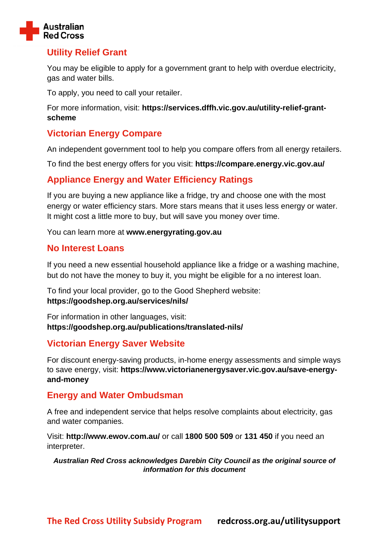

#### **Utility Relief Grant**

You may be eligible to apply for a government grant to help with overdue electricity, gas and water bills.

To apply, you need to call your retailer.

For more information, visit: **[https://services.dffh.vic.gov.au/utility-relief-grant](https://services.dffh.vic.gov.au/utility-relief-grant-scheme)[scheme](https://services.dffh.vic.gov.au/utility-relief-grant-scheme)**

#### **Victorian Energy Compare**

An independent government tool to help you compare offers from all energy retailers.

To find the best energy offers for you visit: **<https://compare.energy.vic.gov.au/>**

#### **Appliance Energy and Water Efficiency Ratings**

If you are buying a new appliance like a fridge, try and choose one with the most energy or water efficiency stars. More stars means that it uses less energy or water. It might cost a little more to buy, but will save you money over time.

You can learn more at **[www.energyrating.gov.au](http://www.energyrating.gov.au/)**

#### **No Interest Loans**

If you need a new essential household appliance like a fridge or a washing machine, but do not have the money to buy it, you might be eligible for a no interest loan.

To find your local provider, go to the Good Shepherd website: **<https://goodshep.org.au/services/nils/>**

For information in other languages, visit: **<https://goodshep.org.au/publications/translated-nils/>**

#### **Victorian Energy Saver Website**

For discount energy-saving products, in-home energy assessments and simple ways to save energy, visit: **[https://www.victorianenergysaver.vic.gov.au/save-energy](https://www.victorianenergysaver.vic.gov.au/save-energy-and-money)[and-money](https://www.victorianenergysaver.vic.gov.au/save-energy-and-money)**

#### **Energy and Water Ombudsman**

A free and independent service that helps resolve complaints about electricity, gas and water companies.

Visit: **<http://www.ewov.com.au/>** or call **1800 500 509** or **131 450** if you need an interpreter.

*Australian Red Cross acknowledges Darebin City Council as the original source of information for this document*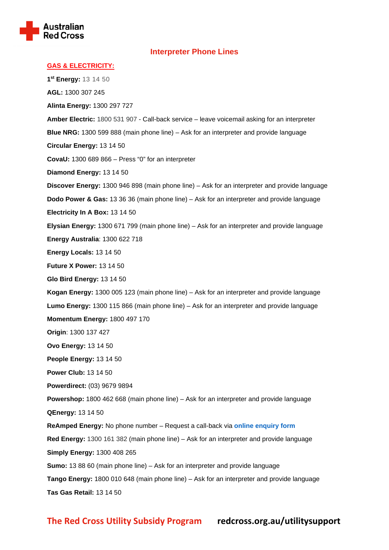

#### **Interpreter Phone Lines**

| <b>GAS &amp; ELECTRICITY:</b>                                                                         |
|-------------------------------------------------------------------------------------------------------|
| 1st Energy: 13 14 50                                                                                  |
| AGL: 1300 307 245                                                                                     |
| Alinta Energy: 1300 297 727                                                                           |
| Amber Electric: 1800 531 907 - Call-back service - leave voicemail asking for an interpreter          |
| <b>Blue NRG:</b> 1300 599 888 (main phone line) – Ask for an interpreter and provide language         |
| Circular Energy: 13 14 50                                                                             |
| <b>CovaU:</b> $1300689866 - Press "0" for an interpreter$                                             |
| Diamond Energy: 13 14 50                                                                              |
| <b>Discover Energy:</b> 1300 946 898 (main phone line) – Ask for an interpreter and provide language  |
| <b>Dodo Power &amp; Gas:</b> 13 36 36 (main phone line) – Ask for an interpreter and provide language |
| Electricity In A Box: 13 14 50                                                                        |
| Elysian Energy: 1300 671 799 (main phone line) - Ask for an interpreter and provide language          |
| <b>Energy Australia: 1300 622 718</b>                                                                 |
| Energy Locals: 13 14 50                                                                               |
| <b>Future X Power: 13 14 50</b>                                                                       |
| Glo Bird Energy: 13 14 50                                                                             |
| Kogan Energy: 1300 005 123 (main phone line) – Ask for an interpreter and provide language            |
| Lumo Energy: 1300 115 866 (main phone line) - Ask for an interpreter and provide language             |
| <b>Momentum Energy: 1800 497 170</b>                                                                  |
| Origin: 1300 137 427                                                                                  |
| <b>Ovo Energy: 13 14 50</b>                                                                           |
| People Energy: 13 14 50                                                                               |
| <b>Power Club: 13 14 50</b>                                                                           |
| Powerdirect: (03) 9679 9894                                                                           |
| Powershop: 1800 462 668 (main phone line) - Ask for an interpreter and provide language               |
| <b>QEnergy: 13 14 50</b>                                                                              |
| ReAmped Energy: No phone number - Request a call-back via online enquiry form                         |
| Red Energy: 1300 161 382 (main phone line) - Ask for an interpreter and provide language              |
| <b>Simply Energy: 1300 408 265</b>                                                                    |
| <b>Sumo:</b> 13 88 60 (main phone line) – Ask for an interpreter and provide language                 |
| Tango Energy: 1800 010 648 (main phone line) - Ask for an interpreter and provide language            |
| Tas Gas Retail: 13 14 50                                                                              |